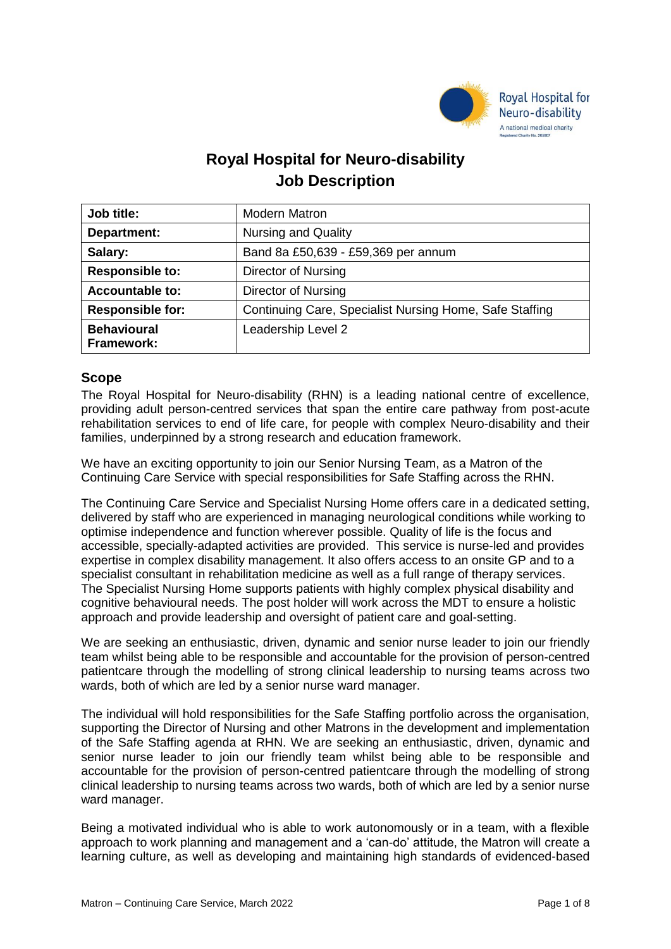

# **Royal Hospital for Neuro-disability Job Description**

| Job title:                       | <b>Modern Matron</b>                                    |
|----------------------------------|---------------------------------------------------------|
| Department:                      | <b>Nursing and Quality</b>                              |
| Salary:                          | Band 8a £50,639 - £59,369 per annum                     |
| <b>Responsible to:</b>           | Director of Nursing                                     |
| <b>Accountable to:</b>           | <b>Director of Nursing</b>                              |
| <b>Responsible for:</b>          | Continuing Care, Specialist Nursing Home, Safe Staffing |
| <b>Behavioural</b><br>Framework: | Leadership Level 2                                      |

## **Scope**

The Royal Hospital for Neuro-disability (RHN) is a leading national centre of excellence, providing adult person-centred services that span the entire care pathway from post-acute rehabilitation services to end of life care, for people with complex Neuro-disability and their families, underpinned by a strong research and education framework.

We have an exciting opportunity to join our Senior Nursing Team, as a Matron of the Continuing Care Service with special responsibilities for Safe Staffing across the RHN.

The Continuing Care Service and Specialist Nursing Home offers care in a dedicated setting, delivered by staff who are experienced in managing neurological conditions while working to optimise independence and function wherever possible. Quality of life is the focus and accessible, specially-adapted activities are provided. This service is nurse-led and provides expertise in complex disability management. It also offers access to an onsite GP and to a specialist consultant in rehabilitation medicine as well as a full range of therapy services. The Specialist Nursing Home supports patients with highly complex physical disability and cognitive behavioural needs. The post holder will work across the MDT to ensure a holistic approach and provide leadership and oversight of patient care and goal-setting.

We are seeking an enthusiastic, driven, dynamic and senior nurse leader to join our friendly team whilst being able to be responsible and accountable for the provision of person-centred patientcare through the modelling of strong clinical leadership to nursing teams across two wards, both of which are led by a senior nurse ward manager.

The individual will hold responsibilities for the Safe Staffing portfolio across the organisation, supporting the Director of Nursing and other Matrons in the development and implementation of the Safe Staffing agenda at RHN. We are seeking an enthusiastic, driven, dynamic and senior nurse leader to join our friendly team whilst being able to be responsible and accountable for the provision of person-centred patientcare through the modelling of strong clinical leadership to nursing teams across two wards, both of which are led by a senior nurse ward manager.

Being a motivated individual who is able to work autonomously or in a team, with a flexible approach to work planning and management and a 'can-do' attitude, the Matron will create a learning culture, as well as developing and maintaining high standards of evidenced-based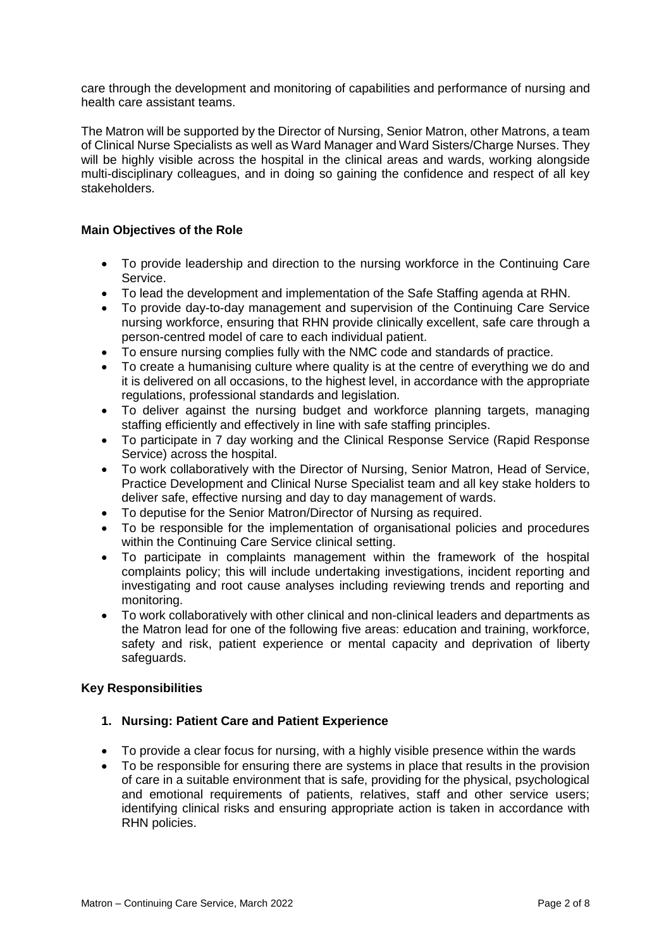care through the development and monitoring of capabilities and performance of nursing and health care assistant teams.

The Matron will be supported by the Director of Nursing, Senior Matron, other Matrons, a team of Clinical Nurse Specialists as well as Ward Manager and Ward Sisters/Charge Nurses. They will be highly visible across the hospital in the clinical areas and wards, working alongside multi-disciplinary colleagues, and in doing so gaining the confidence and respect of all key stakeholders.

## **Main Objectives of the Role**

- To provide leadership and direction to the nursing workforce in the Continuing Care Service.
- To lead the development and implementation of the Safe Staffing agenda at RHN.
- To provide day-to-day management and supervision of the Continuing Care Service nursing workforce, ensuring that RHN provide clinically excellent, safe care through a person-centred model of care to each individual patient.
- To ensure nursing complies fully with the NMC code and standards of practice.
- To create a humanising culture where quality is at the centre of everything we do and it is delivered on all occasions, to the highest level, in accordance with the appropriate regulations, professional standards and legislation.
- To deliver against the nursing budget and workforce planning targets, managing staffing efficiently and effectively in line with safe staffing principles.
- To participate in 7 day working and the Clinical Response Service (Rapid Response Service) across the hospital.
- To work collaboratively with the Director of Nursing, Senior Matron, Head of Service, Practice Development and Clinical Nurse Specialist team and all key stake holders to deliver safe, effective nursing and day to day management of wards.
- To deputise for the Senior Matron/Director of Nursing as required.
- To be responsible for the implementation of organisational policies and procedures within the Continuing Care Service clinical setting.
- To participate in complaints management within the framework of the hospital complaints policy; this will include undertaking investigations, incident reporting and investigating and root cause analyses including reviewing trends and reporting and monitoring.
- To work collaboratively with other clinical and non-clinical leaders and departments as the Matron lead for one of the following five areas: education and training, workforce, safety and risk, patient experience or mental capacity and deprivation of liberty safeguards.

### **Key Responsibilities**

### **1. Nursing: Patient Care and Patient Experience**

- To provide a clear focus for nursing, with a highly visible presence within the wards
- To be responsible for ensuring there are systems in place that results in the provision of care in a suitable environment that is safe, providing for the physical, psychological and emotional requirements of patients, relatives, staff and other service users; identifying clinical risks and ensuring appropriate action is taken in accordance with RHN policies.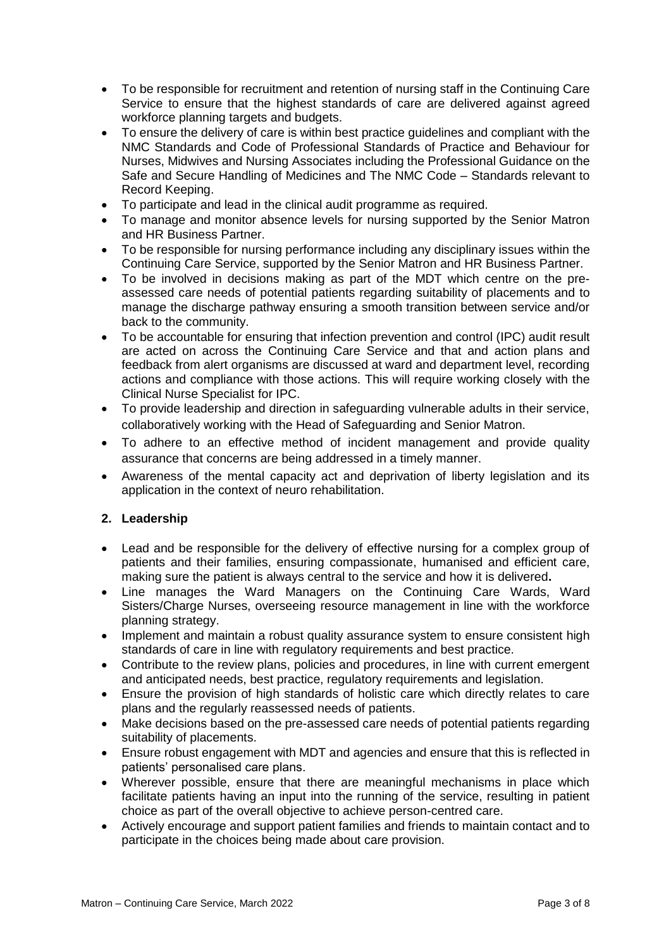- To be responsible for recruitment and retention of nursing staff in the Continuing Care Service to ensure that the highest standards of care are delivered against agreed workforce planning targets and budgets.
- To ensure the delivery of care is within best practice guidelines and compliant with the NMC Standards and Code of Professional Standards of Practice and Behaviour for Nurses, Midwives and Nursing Associates including the Professional Guidance on the Safe and Secure Handling of Medicines and The NMC Code – Standards relevant to Record Keeping.
- To participate and lead in the clinical audit programme as required.
- To manage and monitor absence levels for nursing supported by the Senior Matron and HR Business Partner.
- To be responsible for nursing performance including any disciplinary issues within the Continuing Care Service, supported by the Senior Matron and HR Business Partner.
- To be involved in decisions making as part of the MDT which centre on the preassessed care needs of potential patients regarding suitability of placements and to manage the discharge pathway ensuring a smooth transition between service and/or back to the community.
- To be accountable for ensuring that infection prevention and control (IPC) audit result are acted on across the Continuing Care Service and that and action plans and feedback from alert organisms are discussed at ward and department level, recording actions and compliance with those actions. This will require working closely with the Clinical Nurse Specialist for IPC.
- To provide leadership and direction in safeguarding vulnerable adults in their service, collaboratively working with the Head of Safeguarding and Senior Matron.
- To adhere to an effective method of incident management and provide quality assurance that concerns are being addressed in a timely manner.
- Awareness of the mental capacity act and deprivation of liberty legislation and its application in the context of neuro rehabilitation.

### **2. Leadership**

- Lead and be responsible for the delivery of effective nursing for a complex group of patients and their families, ensuring compassionate, humanised and efficient care, making sure the patient is always central to the service and how it is delivered**.**
- Line manages the Ward Managers on the Continuing Care Wards, Ward Sisters/Charge Nurses, overseeing resource management in line with the workforce planning strategy.
- Implement and maintain a robust quality assurance system to ensure consistent high standards of care in line with regulatory requirements and best practice.
- Contribute to the review plans, policies and procedures, in line with current emergent and anticipated needs, best practice, regulatory requirements and legislation.
- Ensure the provision of high standards of holistic care which directly relates to care plans and the regularly reassessed needs of patients.
- Make decisions based on the pre-assessed care needs of potential patients regarding suitability of placements.
- Ensure robust engagement with MDT and agencies and ensure that this is reflected in patients' personalised care plans.
- Wherever possible, ensure that there are meaningful mechanisms in place which facilitate patients having an input into the running of the service, resulting in patient choice as part of the overall objective to achieve person-centred care.
- Actively encourage and support patient families and friends to maintain contact and to participate in the choices being made about care provision.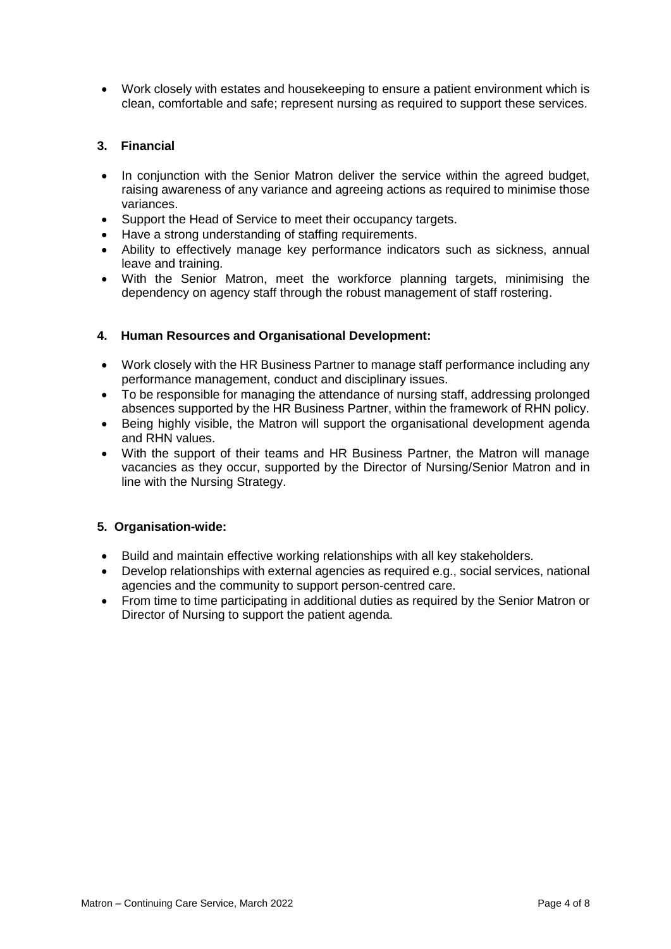Work closely with estates and housekeeping to ensure a patient environment which is clean, comfortable and safe; represent nursing as required to support these services.

## **3. Financial**

- In conjunction with the Senior Matron deliver the service within the agreed budget, raising awareness of any variance and agreeing actions as required to minimise those variances.
- Support the Head of Service to meet their occupancy targets.
- Have a strong understanding of staffing requirements.
- Ability to effectively manage key performance indicators such as sickness, annual leave and training.
- With the Senior Matron, meet the workforce planning targets, minimising the dependency on agency staff through the robust management of staff rostering.

### **4. Human Resources and Organisational Development:**

- Work closely with the HR Business Partner to manage staff performance including any performance management, conduct and disciplinary issues.
- To be responsible for managing the attendance of nursing staff, addressing prolonged absences supported by the HR Business Partner, within the framework of RHN policy.
- Being highly visible, the Matron will support the organisational development agenda and RHN values.
- With the support of their teams and HR Business Partner, the Matron will manage vacancies as they occur, supported by the Director of Nursing/Senior Matron and in line with the Nursing Strategy.

### **5. Organisation-wide:**

- Build and maintain effective working relationships with all key stakeholders.
- Develop relationships with external agencies as required e.g., social services, national agencies and the community to support person-centred care.
- From time to time participating in additional duties as required by the Senior Matron or Director of Nursing to support the patient agenda.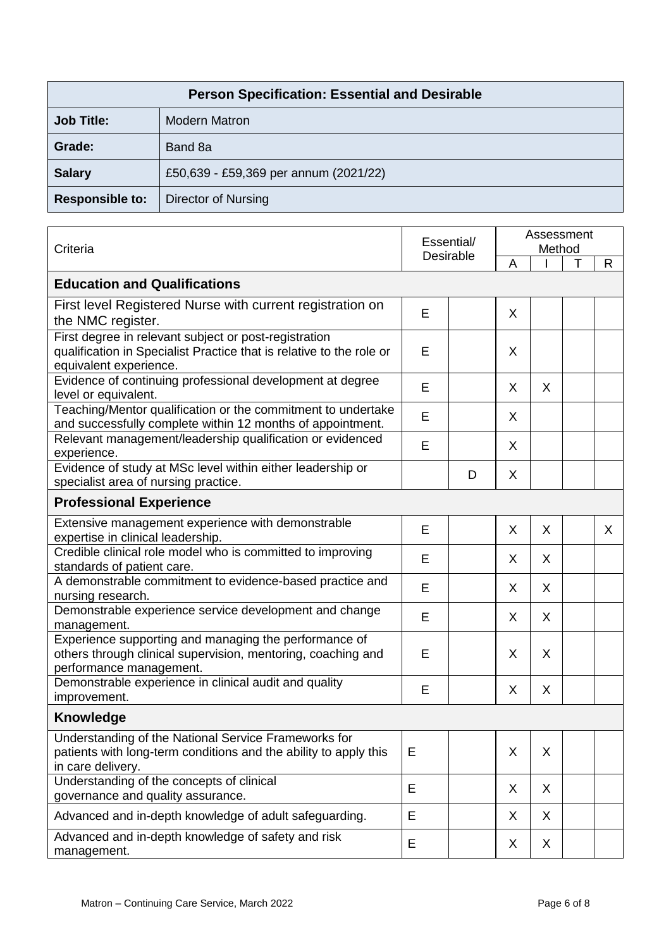| <b>Person Specification: Essential and Desirable</b> |                                       |  |  |  |
|------------------------------------------------------|---------------------------------------|--|--|--|
| <b>Job Title:</b>                                    | <b>Modern Matron</b>                  |  |  |  |
| Grade:                                               | Band 8a                               |  |  |  |
| <b>Salary</b>                                        | £50,639 - £59,369 per annum (2021/22) |  |  |  |
| <b>Responsible to:</b>                               | Director of Nursing                   |  |  |  |

| Criteria                                                                                                                                                |   | Essential/<br><b>Desirable</b> |   | Assessment<br>Method |   |              |  |  |
|---------------------------------------------------------------------------------------------------------------------------------------------------------|---|--------------------------------|---|----------------------|---|--------------|--|--|
|                                                                                                                                                         |   |                                |   |                      | Т | $\mathsf{R}$ |  |  |
| <b>Education and Qualifications</b>                                                                                                                     |   |                                |   |                      |   |              |  |  |
| First level Registered Nurse with current registration on<br>the NMC register.                                                                          | E |                                | X |                      |   |              |  |  |
| First degree in relevant subject or post-registration<br>qualification in Specialist Practice that is relative to the role or<br>equivalent experience. | E |                                | X |                      |   |              |  |  |
| Evidence of continuing professional development at degree<br>level or equivalent.                                                                       | E |                                | X | X                    |   |              |  |  |
| Teaching/Mentor qualification or the commitment to undertake<br>and successfully complete within 12 months of appointment.                              | E |                                | X |                      |   |              |  |  |
| Relevant management/leadership qualification or evidenced<br>experience.                                                                                | E |                                | X |                      |   |              |  |  |
| Evidence of study at MSc level within either leadership or<br>specialist area of nursing practice.                                                      |   | D                              | X |                      |   |              |  |  |
| <b>Professional Experience</b>                                                                                                                          |   |                                |   |                      |   |              |  |  |
| Extensive management experience with demonstrable<br>expertise in clinical leadership.                                                                  | E |                                | X | X                    |   | $\sf X$      |  |  |
| Credible clinical role model who is committed to improving<br>standards of patient care.                                                                | E |                                | X | X                    |   |              |  |  |
| A demonstrable commitment to evidence-based practice and<br>nursing research.                                                                           | E |                                | X | X                    |   |              |  |  |
| Demonstrable experience service development and change<br>management.                                                                                   | E |                                | X | X                    |   |              |  |  |
| Experience supporting and managing the performance of<br>others through clinical supervision, mentoring, coaching and<br>performance management.        | E |                                | X | X                    |   |              |  |  |
| Demonstrable experience in clinical audit and quality<br>improvement.                                                                                   | E |                                | X | X                    |   |              |  |  |
| <b>Knowledge</b>                                                                                                                                        |   |                                |   |                      |   |              |  |  |
| Understanding of the National Service Frameworks for<br>patients with long-term conditions and the ability to apply this<br>in care delivery.           | E |                                | X | X                    |   |              |  |  |
| Understanding of the concepts of clinical<br>governance and quality assurance.                                                                          | E |                                | X | X                    |   |              |  |  |
| Advanced and in-depth knowledge of adult safeguarding.                                                                                                  | E |                                | X | X                    |   |              |  |  |
| Advanced and in-depth knowledge of safety and risk<br>management.                                                                                       | E |                                | X | X                    |   |              |  |  |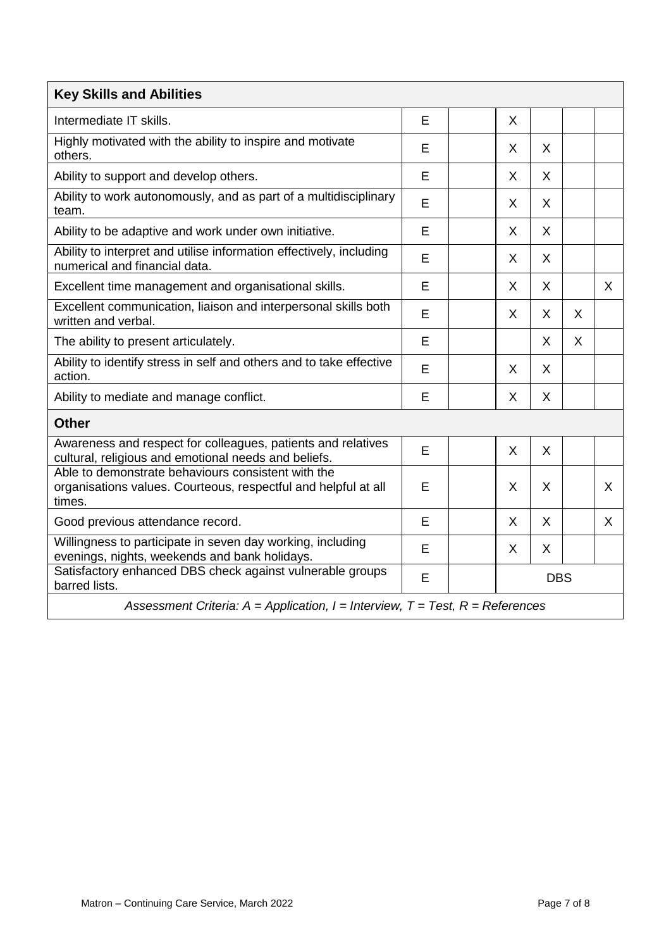| <b>Key Skills and Abilities</b>                                                                                                |   |  |            |              |   |   |  |
|--------------------------------------------------------------------------------------------------------------------------------|---|--|------------|--------------|---|---|--|
| Intermediate IT skills.                                                                                                        | E |  | X          |              |   |   |  |
| Highly motivated with the ability to inspire and motivate<br>others.                                                           | E |  | X          | X            |   |   |  |
| Ability to support and develop others.                                                                                         | E |  | X          | X            |   |   |  |
| Ability to work autonomously, and as part of a multidisciplinary<br>team.                                                      | E |  | X          | X            |   |   |  |
| Ability to be adaptive and work under own initiative.                                                                          | E |  | X          | X            |   |   |  |
| Ability to interpret and utilise information effectively, including<br>numerical and financial data.                           | E |  | X          | X            |   |   |  |
| Excellent time management and organisational skills.                                                                           | E |  | X          | $\mathsf{X}$ |   | X |  |
| Excellent communication, liaison and interpersonal skills both<br>written and verbal.                                          | E |  | X          | X            | X |   |  |
| The ability to present articulately.                                                                                           | E |  |            | X            | X |   |  |
| Ability to identify stress in self and others and to take effective<br>action.                                                 | E |  | X          | X            |   |   |  |
| Ability to mediate and manage conflict.                                                                                        | E |  | X          | $\mathsf{X}$ |   |   |  |
| <b>Other</b>                                                                                                                   |   |  |            |              |   |   |  |
| Awareness and respect for colleagues, patients and relatives<br>cultural, religious and emotional needs and beliefs.           | E |  | X          | X            |   |   |  |
| Able to demonstrate behaviours consistent with the<br>organisations values. Courteous, respectful and helpful at all<br>times. | E |  | X          | X            |   | X |  |
| Good previous attendance record.                                                                                               | E |  | X          | X            |   | X |  |
| Willingness to participate in seven day working, including<br>evenings, nights, weekends and bank holidays.                    | E |  | X          | X            |   |   |  |
| Satisfactory enhanced DBS check against vulnerable groups<br>barred lists.                                                     | E |  | <b>DBS</b> |              |   |   |  |
| Assessment Criteria: $A =$ Application, $I =$ Interview, $T =$ Test, $R =$ References                                          |   |  |            |              |   |   |  |